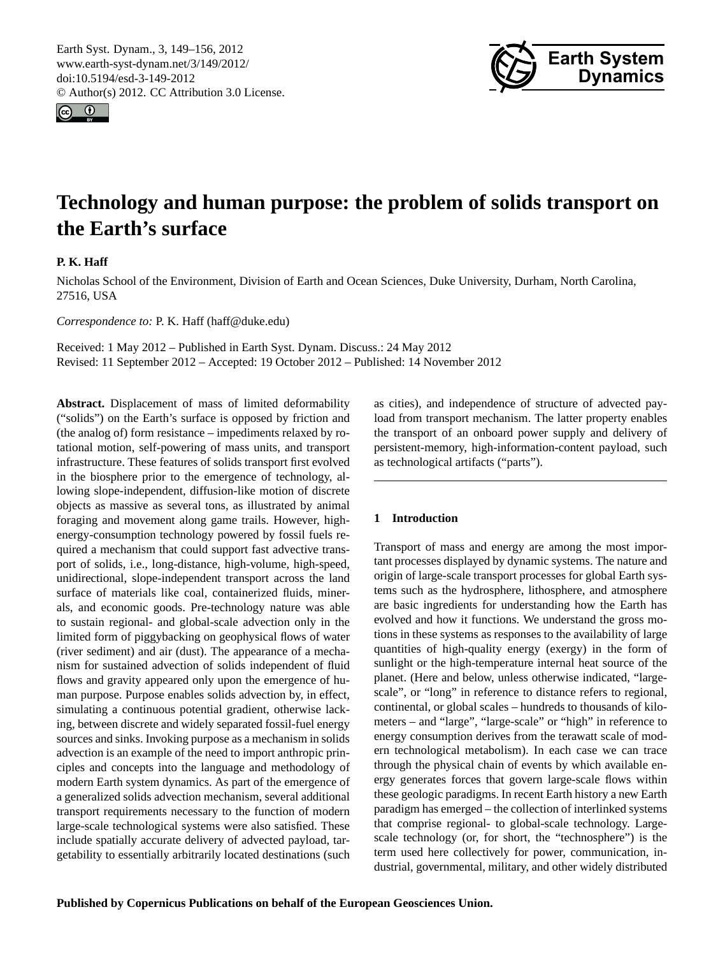<span id="page-0-0"></span>Earth Syst. Dynam., 3, 149–156, 2012 www.earth-syst-dynam.net/3/149/2012/ doi:10.5194/esd-3-149-2012 © Author(s) 2012. CC Attribution 3.0 License.





# **Technology and human purpose: the problem of solids transport on the Earth's surface**

# **P. K. Haff**

Nicholas School of the Environment, Division of Earth and Ocean Sciences, Duke University, Durham, North Carolina, 27516, USA

*Correspondence to:* P. K. Haff (haff@duke.edu)

Received: 1 May 2012 – Published in Earth Syst. Dynam. Discuss.: 24 May 2012 Revised: 11 September 2012 – Accepted: 19 October 2012 – Published: 14 November 2012

**Abstract.** Displacement of mass of limited deformability ("solids") on the Earth's surface is opposed by friction and (the analog of) form resistance – impediments relaxed by rotational motion, self-powering of mass units, and transport infrastructure. These features of solids transport first evolved in the biosphere prior to the emergence of technology, allowing slope-independent, diffusion-like motion of discrete objects as massive as several tons, as illustrated by animal foraging and movement along game trails. However, highenergy-consumption technology powered by fossil fuels required a mechanism that could support fast advective transport of solids, i.e., long-distance, high-volume, high-speed, unidirectional, slope-independent transport across the land surface of materials like coal, containerized fluids, minerals, and economic goods. Pre-technology nature was able to sustain regional- and global-scale advection only in the limited form of piggybacking on geophysical flows of water (river sediment) and air (dust). The appearance of a mechanism for sustained advection of solids independent of fluid flows and gravity appeared only upon the emergence of human purpose. Purpose enables solids advection by, in effect, simulating a continuous potential gradient, otherwise lacking, between discrete and widely separated fossil-fuel energy sources and sinks. Invoking purpose as a mechanism in solids advection is an example of the need to import anthropic principles and concepts into the language and methodology of modern Earth system dynamics. As part of the emergence of a generalized solids advection mechanism, several additional transport requirements necessary to the function of modern large-scale technological systems were also satisfied. These include spatially accurate delivery of advected payload, targetability to essentially arbitrarily located destinations (such as cities), and independence of structure of advected payload from transport mechanism. The latter property enables the transport of an onboard power supply and delivery of persistent-memory, high-information-content payload, such as technological artifacts ("parts").

# **1 Introduction**

Transport of mass and energy are among the most important processes displayed by dynamic systems. The nature and origin of large-scale transport processes for global Earth systems such as the hydrosphere, lithosphere, and atmosphere are basic ingredients for understanding how the Earth has evolved and how it functions. We understand the gross motions in these systems as responses to the availability of large quantities of high-quality energy (exergy) in the form of sunlight or the high-temperature internal heat source of the planet. (Here and below, unless otherwise indicated, "largescale", or "long" in reference to distance refers to regional, continental, or global scales – hundreds to thousands of kilometers – and "large", "large-scale" or "high" in reference to energy consumption derives from the terawatt scale of modern technological metabolism). In each case we can trace through the physical chain of events by which available energy generates forces that govern large-scale flows within these geologic paradigms. In recent Earth history a new Earth paradigm has emerged – the collection of interlinked systems that comprise regional- to global-scale technology. Largescale technology (or, for short, the "technosphere") is the term used here collectively for power, communication, industrial, governmental, military, and other widely distributed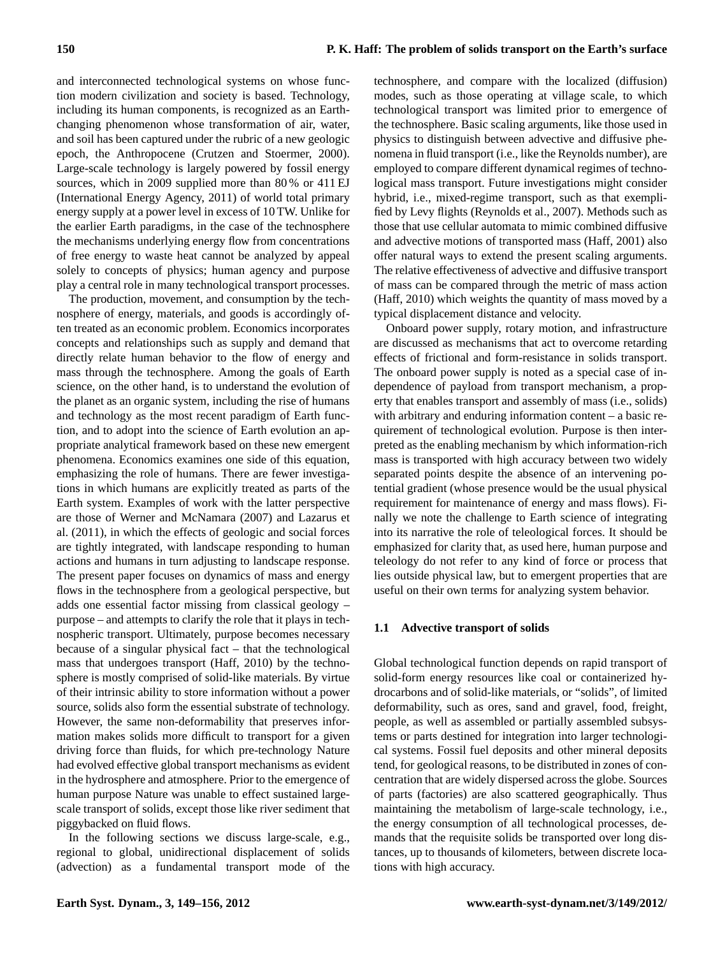and interconnected technological systems on whose function modern civilization and society is based. Technology, including its human components, is recognized as an Earthchanging phenomenon whose transformation of air, water, and soil has been captured under the rubric of a new geologic epoch, the Anthropocene (Crutzen and Stoermer, 2000). Large-scale technology is largely powered by fossil energy sources, which in 2009 supplied more than 80 % or 411 EJ (International Energy Agency, 2011) of world total primary energy supply at a power level in excess of 10 TW. Unlike for the earlier Earth paradigms, in the case of the technosphere the mechanisms underlying energy flow from concentrations of free energy to waste heat cannot be analyzed by appeal solely to concepts of physics; human agency and purpose play a central role in many technological transport processes.

The production, movement, and consumption by the technosphere of energy, materials, and goods is accordingly often treated as an economic problem. Economics incorporates concepts and relationships such as supply and demand that directly relate human behavior to the flow of energy and mass through the technosphere. Among the goals of Earth science, on the other hand, is to understand the evolution of the planet as an organic system, including the rise of humans and technology as the most recent paradigm of Earth function, and to adopt into the science of Earth evolution an appropriate analytical framework based on these new emergent phenomena. Economics examines one side of this equation, emphasizing the role of humans. There are fewer investigations in which humans are explicitly treated as parts of the Earth system. Examples of work with the latter perspective are those of Werner and McNamara (2007) and Lazarus et al. (2011), in which the effects of geologic and social forces are tightly integrated, with landscape responding to human actions and humans in turn adjusting to landscape response. The present paper focuses on dynamics of mass and energy flows in the technosphere from a geological perspective, but adds one essential factor missing from classical geology – purpose – and attempts to clarify the role that it plays in technospheric transport. Ultimately, purpose becomes necessary because of a singular physical fact – that the technological mass that undergoes transport (Haff, 2010) by the technosphere is mostly comprised of solid-like materials. By virtue of their intrinsic ability to store information without a power source, solids also form the essential substrate of technology. However, the same non-deformability that preserves information makes solids more difficult to transport for a given driving force than fluids, for which pre-technology Nature had evolved effective global transport mechanisms as evident in the hydrosphere and atmosphere. Prior to the emergence of human purpose Nature was unable to effect sustained largescale transport of solids, except those like river sediment that piggybacked on fluid flows.

In the following sections we discuss large-scale, e.g., regional to global, unidirectional displacement of solids (advection) as a fundamental transport mode of the technosphere, and compare with the localized (diffusion) modes, such as those operating at village scale, to which technological transport was limited prior to emergence of the technosphere. Basic scaling arguments, like those used in physics to distinguish between advective and diffusive phenomena in fluid transport (i.e., like the Reynolds number), are employed to compare different dynamical regimes of technological mass transport. Future investigations might consider hybrid, i.e., mixed-regime transport, such as that exemplified by Levy flights (Reynolds et al., 2007). Methods such as those that use cellular automata to mimic combined diffusive and advective motions of transported mass (Haff, 2001) also offer natural ways to extend the present scaling arguments. The relative effectiveness of advective and diffusive transport of mass can be compared through the metric of mass action (Haff, 2010) which weights the quantity of mass moved by a typical displacement distance and velocity.

Onboard power supply, rotary motion, and infrastructure are discussed as mechanisms that act to overcome retarding effects of frictional and form-resistance in solids transport. The onboard power supply is noted as a special case of independence of payload from transport mechanism, a property that enables transport and assembly of mass (i.e., solids) with arbitrary and enduring information content – a basic requirement of technological evolution. Purpose is then interpreted as the enabling mechanism by which information-rich mass is transported with high accuracy between two widely separated points despite the absence of an intervening potential gradient (whose presence would be the usual physical requirement for maintenance of energy and mass flows). Finally we note the challenge to Earth science of integrating into its narrative the role of teleological forces. It should be emphasized for clarity that, as used here, human purpose and teleology do not refer to any kind of force or process that lies outside physical law, but to emergent properties that are useful on their own terms for analyzing system behavior.

## **1.1 Advective transport of solids**

Global technological function depends on rapid transport of solid-form energy resources like coal or containerized hydrocarbons and of solid-like materials, or "solids", of limited deformability, such as ores, sand and gravel, food, freight, people, as well as assembled or partially assembled subsystems or parts destined for integration into larger technological systems. Fossil fuel deposits and other mineral deposits tend, for geological reasons, to be distributed in zones of concentration that are widely dispersed across the globe. Sources of parts (factories) are also scattered geographically. Thus maintaining the metabolism of large-scale technology, i.e., the energy consumption of all technological processes, demands that the requisite solids be transported over long distances, up to thousands of kilometers, between discrete locations with high accuracy.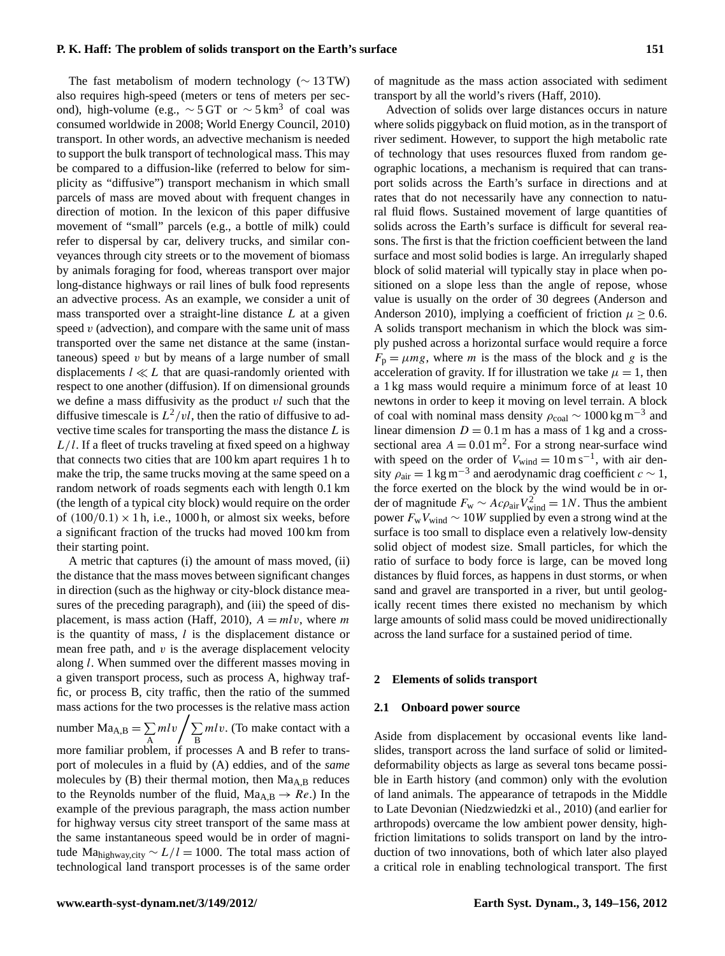The fast metabolism of modern technology ( $\sim$  13 TW) also requires high-speed (meters or tens of meters per second), high-volume (e.g.,  $\sim$  5 GT or  $\sim$  5 km<sup>3</sup> of coal was consumed worldwide in 2008; World Energy Council, 2010) transport. In other words, an advective mechanism is needed to support the bulk transport of technological mass. This may be compared to a diffusion-like (referred to below for simplicity as "diffusive") transport mechanism in which small parcels of mass are moved about with frequent changes in direction of motion. In the lexicon of this paper diffusive movement of "small" parcels (e.g., a bottle of milk) could refer to dispersal by car, delivery trucks, and similar conveyances through city streets or to the movement of biomass by animals foraging for food, whereas transport over major long-distance highways or rail lines of bulk food represents an advective process. As an example, we consider a unit of mass transported over a straight-line distance  $L$  at a given speed  $v$  (advection), and compare with the same unit of mass transported over the same net distance at the same (instantaneous) speed  $v$  but by means of a large number of small displacements  $l \ll L$  that are quasi-randomly oriented with respect to one another (diffusion). If on dimensional grounds we define a mass diffusivity as the product vl such that the diffusive timescale is  $L^2/vl$ , then the ratio of diffusive to advective time scales for transporting the mass the distance  $L$  is  $L/l$ . If a fleet of trucks traveling at fixed speed on a highway that connects two cities that are 100 km apart requires 1 h to make the trip, the same trucks moving at the same speed on a random network of roads segments each with length 0.1 km (the length of a typical city block) would require on the order of  $(100/0.1) \times 1$  h, i.e., 1000 h, or almost six weeks, before a significant fraction of the trucks had moved 100 km from their starting point.

A metric that captures (i) the amount of mass moved, (ii) the distance that the mass moves between significant changes in direction (such as the highway or city-block distance measures of the preceding paragraph), and (iii) the speed of displacement, is mass action (Haff, 2010),  $A = mlv$ , where m is the quantity of mass,  $l$  is the displacement distance or mean free path, and  $v$  is the average displacement velocity along l. When summed over the different masses moving in a given transport process, such as process A, highway traffic, or process B, city traffic, then the ratio of the summed mass actions for the two processes is the relative mass action number Ma<sub>A,B</sub> =  $\sum$ A ml v $\sqrt{\Sigma}$ B mlv. (To make contact with a more familiar problem, if processes A and B refer to transport of molecules in a fluid by (A) eddies, and of the *same* molecules by  $(B)$  their thermal motion, then  $Ma<sub>A,B</sub>$  reduces to the Reynolds number of the fluid,  $Ma<sub>A,B</sub> \rightarrow Re$ .) In the example of the previous paragraph, the mass action number for highway versus city street transport of the same mass at the same instantaneous speed would be in order of magnitude Ma<sub>highway.city</sub>  $\sim L/l = 1000$ . The total mass action of technological land transport processes is of the same order of magnitude as the mass action associated with sediment transport by all the world's rivers (Haff, 2010).

Advection of solids over large distances occurs in nature where solids piggyback on fluid motion, as in the transport of river sediment. However, to support the high metabolic rate of technology that uses resources fluxed from random geographic locations, a mechanism is required that can transport solids across the Earth's surface in directions and at rates that do not necessarily have any connection to natural fluid flows. Sustained movement of large quantities of solids across the Earth's surface is difficult for several reasons. The first is that the friction coefficient between the land surface and most solid bodies is large. An irregularly shaped block of solid material will typically stay in place when positioned on a slope less than the angle of repose, whose value is usually on the order of 30 degrees (Anderson and Anderson 2010), implying a coefficient of friction  $\mu \geq 0.6$ . A solids transport mechanism in which the block was simply pushed across a horizontal surface would require a force  $F_p = \mu mg$ , where *m* is the mass of the block and *g* is the acceleration of gravity. If for illustration we take  $\mu = 1$ , then a 1 kg mass would require a minimum force of at least 10 newtons in order to keep it moving on level terrain. A block of coal with nominal mass density  $\rho_{\rm coal} \sim 1000 \,\rm kg \, m^{-3}$  and linear dimension  $D = 0.1$  m has a mass of 1 kg and a crosssectional area  $A = 0.01$  m<sup>2</sup>. For a strong near-surface wind with speed on the order of  $V_{wind} = 10 \,\text{m s}^{-1}$ , with air density  $\rho_{\text{air}} = 1 \text{ kg m}^{-3}$  and aerodynamic drag coefficient  $c \sim 1$ , the force exerted on the block by the wind would be in order of magnitude  $F_w \sim Ac\rho_{air}V_{wind}^2 = 1N$ . Thus the ambient power  $F_wV_{wind}$  ~ 10W supplied by even a strong wind at the surface is too small to displace even a relatively low-density solid object of modest size. Small particles, for which the ratio of surface to body force is large, can be moved long distances by fluid forces, as happens in dust storms, or when sand and gravel are transported in a river, but until geologically recent times there existed no mechanism by which large amounts of solid mass could be moved unidirectionally across the land surface for a sustained period of time.

#### **2 Elements of solids transport**

#### **2.1 Onboard power source**

Aside from displacement by occasional events like landslides, transport across the land surface of solid or limiteddeformability objects as large as several tons became possible in Earth history (and common) only with the evolution of land animals. The appearance of tetrapods in the Middle to Late Devonian (Niedzwiedzki et al., 2010) (and earlier for arthropods) overcame the low ambient power density, highfriction limitations to solids transport on land by the introduction of two innovations, both of which later also played a critical role in enabling technological transport. The first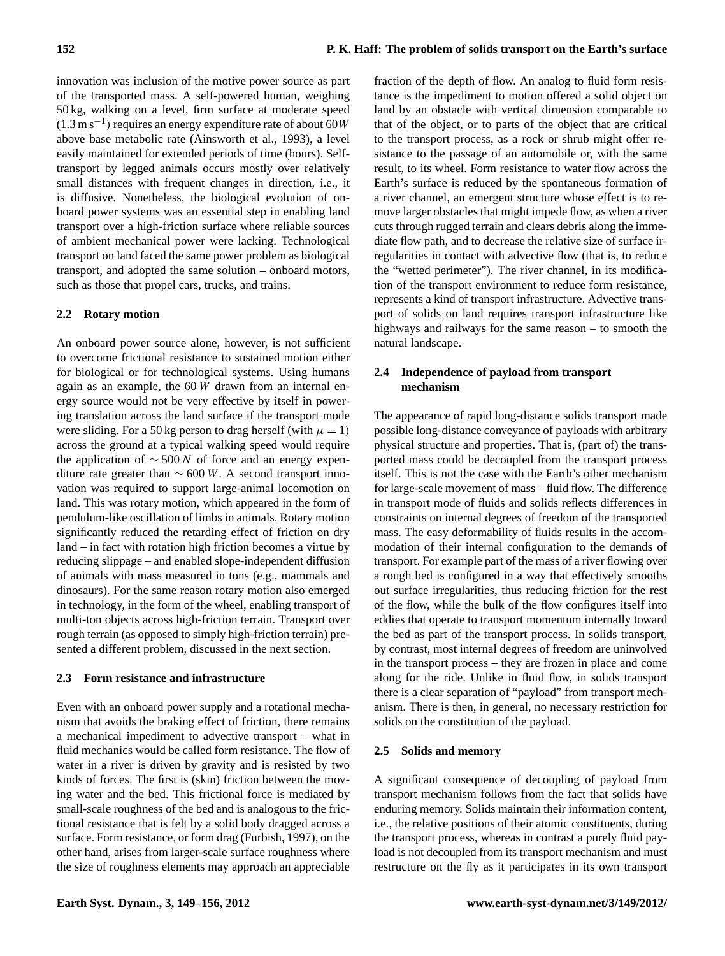innovation was inclusion of the motive power source as part of the transported mass. A self-powered human, weighing 50 kg, walking on a level, firm surface at moderate speed  $(1.3 \text{ m s}^{-1})$  requires an energy expenditure rate of about 60W above base metabolic rate (Ainsworth et al., 1993), a level easily maintained for extended periods of time (hours). Selftransport by legged animals occurs mostly over relatively small distances with frequent changes in direction, i.e., it is diffusive. Nonetheless, the biological evolution of onboard power systems was an essential step in enabling land transport over a high-friction surface where reliable sources of ambient mechanical power were lacking. Technological transport on land faced the same power problem as biological transport, and adopted the same solution – onboard motors, such as those that propel cars, trucks, and trains.

## **2.2 Rotary motion**

An onboard power source alone, however, is not sufficient to overcome frictional resistance to sustained motion either for biological or for technological systems. Using humans again as an example, the 60 W drawn from an internal energy source would not be very effective by itself in powering translation across the land surface if the transport mode were sliding. For a 50 kg person to drag herself (with  $\mu = 1$ ) across the ground at a typical walking speed would require the application of  $\sim$  500 N of force and an energy expenditure rate greater than  $\sim$  600 W. A second transport innovation was required to support large-animal locomotion on land. This was rotary motion, which appeared in the form of pendulum-like oscillation of limbs in animals. Rotary motion significantly reduced the retarding effect of friction on dry land – in fact with rotation high friction becomes a virtue by reducing slippage – and enabled slope-independent diffusion of animals with mass measured in tons (e.g., mammals and dinosaurs). For the same reason rotary motion also emerged in technology, in the form of the wheel, enabling transport of multi-ton objects across high-friction terrain. Transport over rough terrain (as opposed to simply high-friction terrain) presented a different problem, discussed in the next section.

## **2.3 Form resistance and infrastructure**

Even with an onboard power supply and a rotational mechanism that avoids the braking effect of friction, there remains a mechanical impediment to advective transport – what in fluid mechanics would be called form resistance. The flow of water in a river is driven by gravity and is resisted by two kinds of forces. The first is (skin) friction between the moving water and the bed. This frictional force is mediated by small-scale roughness of the bed and is analogous to the frictional resistance that is felt by a solid body dragged across a surface. Form resistance, or form drag (Furbish, 1997), on the other hand, arises from larger-scale surface roughness where the size of roughness elements may approach an appreciable fraction of the depth of flow. An analog to fluid form resistance is the impediment to motion offered a solid object on land by an obstacle with vertical dimension comparable to that of the object, or to parts of the object that are critical to the transport process, as a rock or shrub might offer resistance to the passage of an automobile or, with the same result, to its wheel. Form resistance to water flow across the Earth's surface is reduced by the spontaneous formation of a river channel, an emergent structure whose effect is to remove larger obstacles that might impede flow, as when a river cuts through rugged terrain and clears debris along the immediate flow path, and to decrease the relative size of surface irregularities in contact with advective flow (that is, to reduce the "wetted perimeter"). The river channel, in its modification of the transport environment to reduce form resistance, represents a kind of transport infrastructure. Advective transport of solids on land requires transport infrastructure like highways and railways for the same reason – to smooth the natural landscape.

## **2.4 Independence of payload from transport mechanism**

The appearance of rapid long-distance solids transport made possible long-distance conveyance of payloads with arbitrary physical structure and properties. That is, (part of) the transported mass could be decoupled from the transport process itself. This is not the case with the Earth's other mechanism for large-scale movement of mass – fluid flow. The difference in transport mode of fluids and solids reflects differences in constraints on internal degrees of freedom of the transported mass. The easy deformability of fluids results in the accommodation of their internal configuration to the demands of transport. For example part of the mass of a river flowing over a rough bed is configured in a way that effectively smooths out surface irregularities, thus reducing friction for the rest of the flow, while the bulk of the flow configures itself into eddies that operate to transport momentum internally toward the bed as part of the transport process. In solids transport, by contrast, most internal degrees of freedom are uninvolved in the transport process – they are frozen in place and come along for the ride. Unlike in fluid flow, in solids transport there is a clear separation of "payload" from transport mechanism. There is then, in general, no necessary restriction for solids on the constitution of the payload.

## **2.5 Solids and memory**

A significant consequence of decoupling of payload from transport mechanism follows from the fact that solids have enduring memory. Solids maintain their information content, i.e., the relative positions of their atomic constituents, during the transport process, whereas in contrast a purely fluid payload is not decoupled from its transport mechanism and must restructure on the fly as it participates in its own transport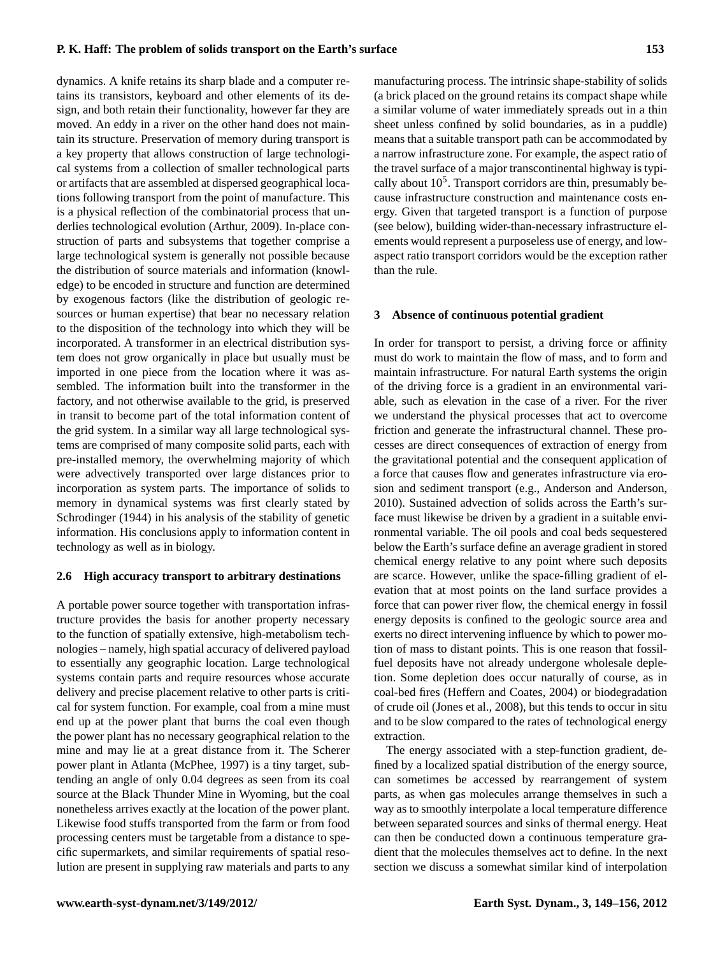## **P. K. Haff: The problem of solids transport on the Earth's surface 153**

dynamics. A knife retains its sharp blade and a computer retains its transistors, keyboard and other elements of its design, and both retain their functionality, however far they are moved. An eddy in a river on the other hand does not maintain its structure. Preservation of memory during transport is a key property that allows construction of large technological systems from a collection of smaller technological parts or artifacts that are assembled at dispersed geographical locations following transport from the point of manufacture. This is a physical reflection of the combinatorial process that underlies technological evolution (Arthur, 2009). In-place construction of parts and subsystems that together comprise a large technological system is generally not possible because the distribution of source materials and information (knowledge) to be encoded in structure and function are determined by exogenous factors (like the distribution of geologic resources or human expertise) that bear no necessary relation to the disposition of the technology into which they will be incorporated. A transformer in an electrical distribution system does not grow organically in place but usually must be imported in one piece from the location where it was assembled. The information built into the transformer in the factory, and not otherwise available to the grid, is preserved in transit to become part of the total information content of the grid system. In a similar way all large technological systems are comprised of many composite solid parts, each with pre-installed memory, the overwhelming majority of which were advectively transported over large distances prior to incorporation as system parts. The importance of solids to memory in dynamical systems was first clearly stated by Schrodinger (1944) in his analysis of the stability of genetic information. His conclusions apply to information content in technology as well as in biology.

#### **2.6 High accuracy transport to arbitrary destinations**

A portable power source together with transportation infrastructure provides the basis for another property necessary to the function of spatially extensive, high-metabolism technologies – namely, high spatial accuracy of delivered payload to essentially any geographic location. Large technological systems contain parts and require resources whose accurate delivery and precise placement relative to other parts is critical for system function. For example, coal from a mine must end up at the power plant that burns the coal even though the power plant has no necessary geographical relation to the mine and may lie at a great distance from it. The Scherer power plant in Atlanta (McPhee, 1997) is a tiny target, subtending an angle of only 0.04 degrees as seen from its coal source at the Black Thunder Mine in Wyoming, but the coal nonetheless arrives exactly at the location of the power plant. Likewise food stuffs transported from the farm or from food processing centers must be targetable from a distance to specific supermarkets, and similar requirements of spatial resolution are present in supplying raw materials and parts to any

manufacturing process. The intrinsic shape-stability of solids (a brick placed on the ground retains its compact shape while a similar volume of water immediately spreads out in a thin sheet unless confined by solid boundaries, as in a puddle) means that a suitable transport path can be accommodated by a narrow infrastructure zone. For example, the aspect ratio of the travel surface of a major transcontinental highway is typically about  $10<sup>5</sup>$ . Transport corridors are thin, presumably because infrastructure construction and maintenance costs energy. Given that targeted transport is a function of purpose (see below), building wider-than-necessary infrastructure elements would represent a purposeless use of energy, and lowaspect ratio transport corridors would be the exception rather than the rule.

#### **3 Absence of continuous potential gradient**

In order for transport to persist, a driving force or affinity must do work to maintain the flow of mass, and to form and maintain infrastructure. For natural Earth systems the origin of the driving force is a gradient in an environmental variable, such as elevation in the case of a river. For the river we understand the physical processes that act to overcome friction and generate the infrastructural channel. These processes are direct consequences of extraction of energy from the gravitational potential and the consequent application of a force that causes flow and generates infrastructure via erosion and sediment transport (e.g., Anderson and Anderson, 2010). Sustained advection of solids across the Earth's surface must likewise be driven by a gradient in a suitable environmental variable. The oil pools and coal beds sequestered below the Earth's surface define an average gradient in stored chemical energy relative to any point where such deposits are scarce. However, unlike the space-filling gradient of elevation that at most points on the land surface provides a force that can power river flow, the chemical energy in fossil energy deposits is confined to the geologic source area and exerts no direct intervening influence by which to power motion of mass to distant points. This is one reason that fossilfuel deposits have not already undergone wholesale depletion. Some depletion does occur naturally of course, as in coal-bed fires (Heffern and Coates, 2004) or biodegradation of crude oil (Jones et al., 2008), but this tends to occur in situ and to be slow compared to the rates of technological energy extraction.

The energy associated with a step-function gradient, defined by a localized spatial distribution of the energy source, can sometimes be accessed by rearrangement of system parts, as when gas molecules arrange themselves in such a way as to smoothly interpolate a local temperature difference between separated sources and sinks of thermal energy. Heat can then be conducted down a continuous temperature gradient that the molecules themselves act to define. In the next section we discuss a somewhat similar kind of interpolation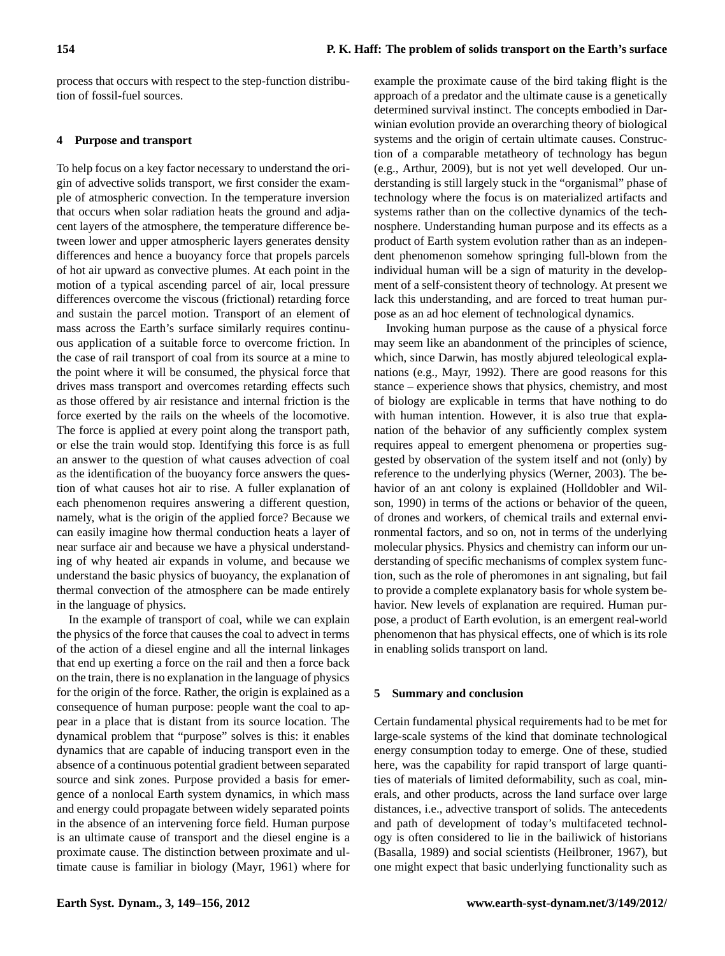process that occurs with respect to the step-function distribution of fossil-fuel sources.

## **4 Purpose and transport**

To help focus on a key factor necessary to understand the origin of advective solids transport, we first consider the example of atmospheric convection. In the temperature inversion that occurs when solar radiation heats the ground and adjacent layers of the atmosphere, the temperature difference between lower and upper atmospheric layers generates density differences and hence a buoyancy force that propels parcels of hot air upward as convective plumes. At each point in the motion of a typical ascending parcel of air, local pressure differences overcome the viscous (frictional) retarding force and sustain the parcel motion. Transport of an element of mass across the Earth's surface similarly requires continuous application of a suitable force to overcome friction. In the case of rail transport of coal from its source at a mine to the point where it will be consumed, the physical force that drives mass transport and overcomes retarding effects such as those offered by air resistance and internal friction is the force exerted by the rails on the wheels of the locomotive. The force is applied at every point along the transport path, or else the train would stop. Identifying this force is as full an answer to the question of what causes advection of coal as the identification of the buoyancy force answers the question of what causes hot air to rise. A fuller explanation of each phenomenon requires answering a different question, namely, what is the origin of the applied force? Because we can easily imagine how thermal conduction heats a layer of near surface air and because we have a physical understanding of why heated air expands in volume, and because we understand the basic physics of buoyancy, the explanation of thermal convection of the atmosphere can be made entirely in the language of physics.

In the example of transport of coal, while we can explain the physics of the force that causes the coal to advect in terms of the action of a diesel engine and all the internal linkages that end up exerting a force on the rail and then a force back on the train, there is no explanation in the language of physics for the origin of the force. Rather, the origin is explained as a consequence of human purpose: people want the coal to appear in a place that is distant from its source location. The dynamical problem that "purpose" solves is this: it enables dynamics that are capable of inducing transport even in the absence of a continuous potential gradient between separated source and sink zones. Purpose provided a basis for emergence of a nonlocal Earth system dynamics, in which mass and energy could propagate between widely separated points in the absence of an intervening force field. Human purpose is an ultimate cause of transport and the diesel engine is a proximate cause. The distinction between proximate and ultimate cause is familiar in biology (Mayr, 1961) where for

example the proximate cause of the bird taking flight is the approach of a predator and the ultimate cause is a genetically determined survival instinct. The concepts embodied in Darwinian evolution provide an overarching theory of biological systems and the origin of certain ultimate causes. Construction of a comparable metatheory of technology has begun (e.g., Arthur, 2009), but is not yet well developed. Our understanding is still largely stuck in the "organismal" phase of technology where the focus is on materialized artifacts and systems rather than on the collective dynamics of the technosphere. Understanding human purpose and its effects as a product of Earth system evolution rather than as an independent phenomenon somehow springing full-blown from the individual human will be a sign of maturity in the development of a self-consistent theory of technology. At present we lack this understanding, and are forced to treat human purpose as an ad hoc element of technological dynamics.

Invoking human purpose as the cause of a physical force may seem like an abandonment of the principles of science, which, since Darwin, has mostly abjured teleological explanations (e.g., Mayr, 1992). There are good reasons for this stance – experience shows that physics, chemistry, and most of biology are explicable in terms that have nothing to do with human intention. However, it is also true that explanation of the behavior of any sufficiently complex system requires appeal to emergent phenomena or properties suggested by observation of the system itself and not (only) by reference to the underlying physics (Werner, 2003). The behavior of an ant colony is explained (Holldobler and Wilson, 1990) in terms of the actions or behavior of the queen, of drones and workers, of chemical trails and external environmental factors, and so on, not in terms of the underlying molecular physics. Physics and chemistry can inform our understanding of specific mechanisms of complex system function, such as the role of pheromones in ant signaling, but fail to provide a complete explanatory basis for whole system behavior. New levels of explanation are required. Human purpose, a product of Earth evolution, is an emergent real-world phenomenon that has physical effects, one of which is its role in enabling solids transport on land.

## **5 Summary and conclusion**

Certain fundamental physical requirements had to be met for large-scale systems of the kind that dominate technological energy consumption today to emerge. One of these, studied here, was the capability for rapid transport of large quantities of materials of limited deformability, such as coal, minerals, and other products, across the land surface over large distances, i.e., advective transport of solids. The antecedents and path of development of today's multifaceted technology is often considered to lie in the bailiwick of historians (Basalla, 1989) and social scientists (Heilbroner, 1967), but one might expect that basic underlying functionality such as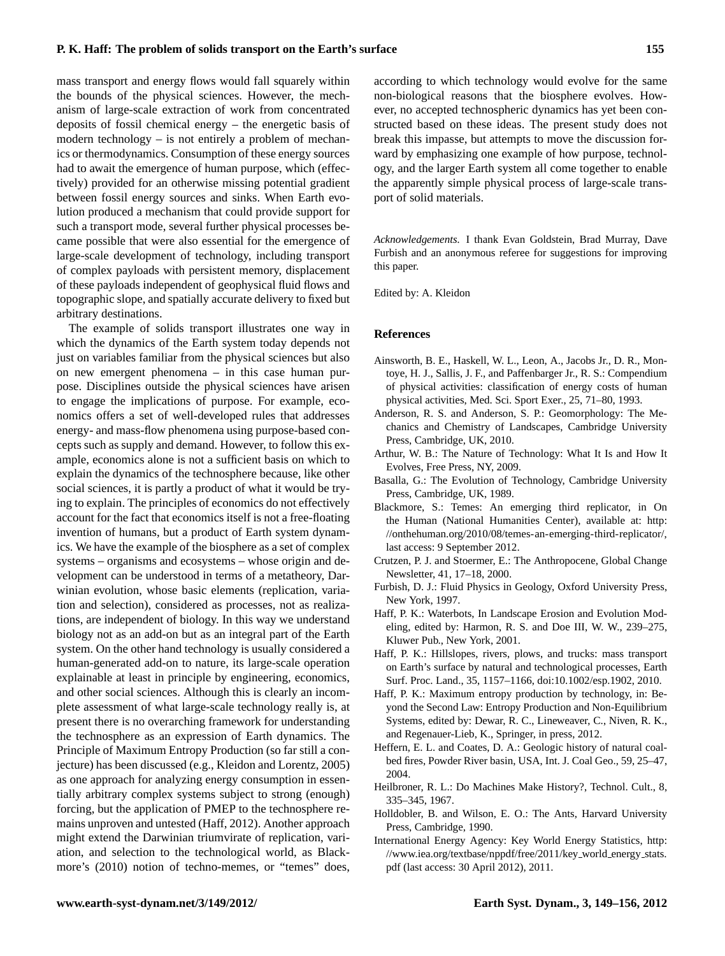## **P. K. Haff: The problem of solids transport on the Earth's surface 155**

mass transport and energy flows would fall squarely within the bounds of the physical sciences. However, the mechanism of large-scale extraction of work from concentrated deposits of fossil chemical energy – the energetic basis of modern technology – is not entirely a problem of mechanics or thermodynamics. Consumption of these energy sources had to await the emergence of human purpose, which (effectively) provided for an otherwise missing potential gradient between fossil energy sources and sinks. When Earth evolution produced a mechanism that could provide support for such a transport mode, several further physical processes became possible that were also essential for the emergence of large-scale development of technology, including transport of complex payloads with persistent memory, displacement of these payloads independent of geophysical fluid flows and topographic slope, and spatially accurate delivery to fixed but arbitrary destinations.

The example of solids transport illustrates one way in which the dynamics of the Earth system today depends not just on variables familiar from the physical sciences but also on new emergent phenomena – in this case human purpose. Disciplines outside the physical sciences have arisen to engage the implications of purpose. For example, economics offers a set of well-developed rules that addresses energy- and mass-flow phenomena using purpose-based concepts such as supply and demand. However, to follow this example, economics alone is not a sufficient basis on which to explain the dynamics of the technosphere because, like other social sciences, it is partly a product of what it would be trying to explain. The principles of economics do not effectively account for the fact that economics itself is not a free-floating invention of humans, but a product of Earth system dynamics. We have the example of the biosphere as a set of complex systems – organisms and ecosystems – whose origin and development can be understood in terms of a metatheory, Darwinian evolution, whose basic elements (replication, variation and selection), considered as processes, not as realizations, are independent of biology. In this way we understand biology not as an add-on but as an integral part of the Earth system. On the other hand technology is usually considered a human-generated add-on to nature, its large-scale operation explainable at least in principle by engineering, economics, and other social sciences. Although this is clearly an incomplete assessment of what large-scale technology really is, at present there is no overarching framework for understanding the technosphere as an expression of Earth dynamics. The Principle of Maximum Entropy Production (so far still a conjecture) has been discussed (e.g., Kleidon and Lorentz, 2005) as one approach for analyzing energy consumption in essentially arbitrary complex systems subject to strong (enough) forcing, but the application of PMEP to the technosphere remains unproven and untested (Haff, 2012). Another approach might extend the Darwinian triumvirate of replication, variation, and selection to the technological world, as Blackmore's (2010) notion of techno-memes, or "temes" does,

according to which technology would evolve for the same non-biological reasons that the biosphere evolves. However, no accepted technospheric dynamics has yet been constructed based on these ideas. The present study does not break this impasse, but attempts to move the discussion forward by emphasizing one example of how purpose, technology, and the larger Earth system all come together to enable the apparently simple physical process of large-scale transport of solid materials.

*Acknowledgements.* I thank Evan Goldstein, Brad Murray, Dave Furbish and an anonymous referee for suggestions for improving this paper.

Edited by: A. Kleidon

#### **References**

- Ainsworth, B. E., Haskell, W. L., Leon, A., Jacobs Jr., D. R., Montoye, H. J., Sallis, J. F., and Paffenbarger Jr., R. S.: Compendium of physical activities: classification of energy costs of human physical activities, Med. Sci. Sport Exer., 25, 71–80, 1993.
- Anderson, R. S. and Anderson, S. P.: Geomorphology: The Mechanics and Chemistry of Landscapes, Cambridge University Press, Cambridge, UK, 2010.
- Arthur, W. B.: The Nature of Technology: What It Is and How It Evolves, Free Press, NY, 2009.
- Basalla, G.: The Evolution of Technology, Cambridge University Press, Cambridge, UK, 1989.
- Blackmore, S.: Temes: An emerging third replicator, in On the Human (National Humanities Center), available at: [http:](http://onthehuman.org/2010/08/temes-an-emerging-third-replicator/) [//onthehuman.org/2010/08/temes-an-emerging-third-replicator/,](http://onthehuman.org/2010/08/temes-an-emerging-third-replicator/) last access: 9 September 2012.
- Crutzen, P. J. and Stoermer, E.: The Anthropocene, Global Change Newsletter, 41, 17–18, 2000.
- Furbish, D. J.: Fluid Physics in Geology, Oxford University Press, New York, 1997.
- Haff, P. K.: Waterbots, In Landscape Erosion and Evolution Modeling, edited by: Harmon, R. S. and Doe III, W. W., 239–275, Kluwer Pub., New York, 2001.
- Haff, P. K.: Hillslopes, rivers, plows, and trucks: mass transport on Earth's surface by natural and technological processes, Earth Surf. Proc. Land., 35, 1157–1166, [doi:10.1002/esp.1902,](http://dx.doi.org/10.1002/esp.1902) 2010.
- Haff, P. K.: Maximum entropy production by technology, in: Beyond the Second Law: Entropy Production and Non-Equilibrium Systems, edited by: Dewar, R. C., Lineweaver, C., Niven, R. K., and Regenauer-Lieb, K., Springer, in press, 2012.
- Heffern, E. L. and Coates, D. A.: Geologic history of natural coalbed fires, Powder River basin, USA, Int. J. Coal Geo., 59, 25–47, 2004.
- Heilbroner, R. L.: Do Machines Make History?, Technol. Cult., 8, 335–345, 1967.
- Holldobler, B. and Wilson, E. O.: The Ants, Harvard University Press, Cambridge, 1990.
- International Energy Agency: Key World Energy Statistics, [http:](http://www.iea.org/textbase/nppdf/free/2011/key_world_energy_stats.pdf) [//www.iea.org/textbase/nppdf/free/2011/key](http://www.iea.org/textbase/nppdf/free/2011/key_world_energy_stats.pdf)\_world\_energy\_stats. [pdf](http://www.iea.org/textbase/nppdf/free/2011/key_world_energy_stats.pdf) (last access: 30 April 2012), 2011.